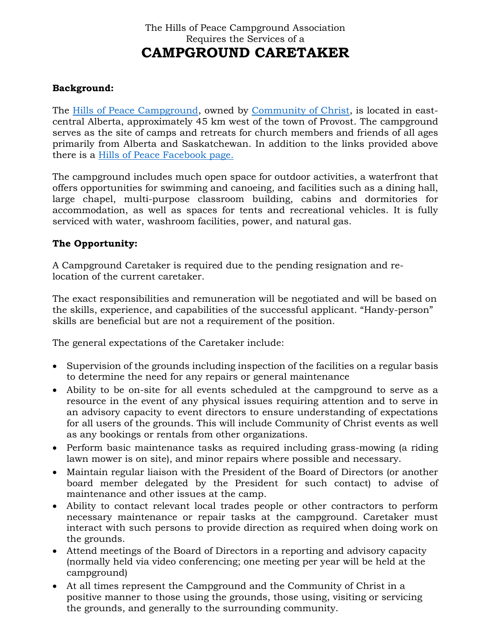# The Hills of Peace Campground Association Requires the Services of a **CAMPGROUND CARETAKER**

#### **Background:**

The [Hills of Peace Campground,](http://www.hillsofpeace.ca/) owned by [Community of Christ,](https://www.communityofchrist.ca/) is located in eastcentral Alberta, approximately 45 km west of the town of Provost. The campground serves as the site of camps and retreats for church members and friends of all ages primarily from Alberta and Saskatchewan. In addition to the links provided above there is a [Hills of Peace Facebook page.](https://www.facebook.com/hillsofpeace)

The campground includes much open space for outdoor activities, a waterfront that offers opportunities for swimming and canoeing, and facilities such as a dining hall, large chapel, multi-purpose classroom building, cabins and dormitories for accommodation, as well as spaces for tents and recreational vehicles. It is fully serviced with water, washroom facilities, power, and natural gas.

#### **The Opportunity:**

A Campground Caretaker is required due to the pending resignation and relocation of the current caretaker.

The exact responsibilities and remuneration will be negotiated and will be based on the skills, experience, and capabilities of the successful applicant. "Handy-person" skills are beneficial but are not a requirement of the position.

The general expectations of the Caretaker include:

- Supervision of the grounds including inspection of the facilities on a regular basis to determine the need for any repairs or general maintenance
- Ability to be on-site for all events scheduled at the campground to serve as a resource in the event of any physical issues requiring attention and to serve in an advisory capacity to event directors to ensure understanding of expectations for all users of the grounds. This will include Community of Christ events as well as any bookings or rentals from other organizations.
- Perform basic maintenance tasks as required including grass-mowing (a riding lawn mower is on site), and minor repairs where possible and necessary.
- Maintain regular liaison with the President of the Board of Directors (or another board member delegated by the President for such contact) to advise of maintenance and other issues at the camp.
- Ability to contact relevant local trades people or other contractors to perform necessary maintenance or repair tasks at the campground. Caretaker must interact with such persons to provide direction as required when doing work on the grounds.
- Attend meetings of the Board of Directors in a reporting and advisory capacity (normally held via video conferencing; one meeting per year will be held at the campground)
- At all times represent the Campground and the Community of Christ in a positive manner to those using the grounds, those using, visiting or servicing the grounds, and generally to the surrounding community.